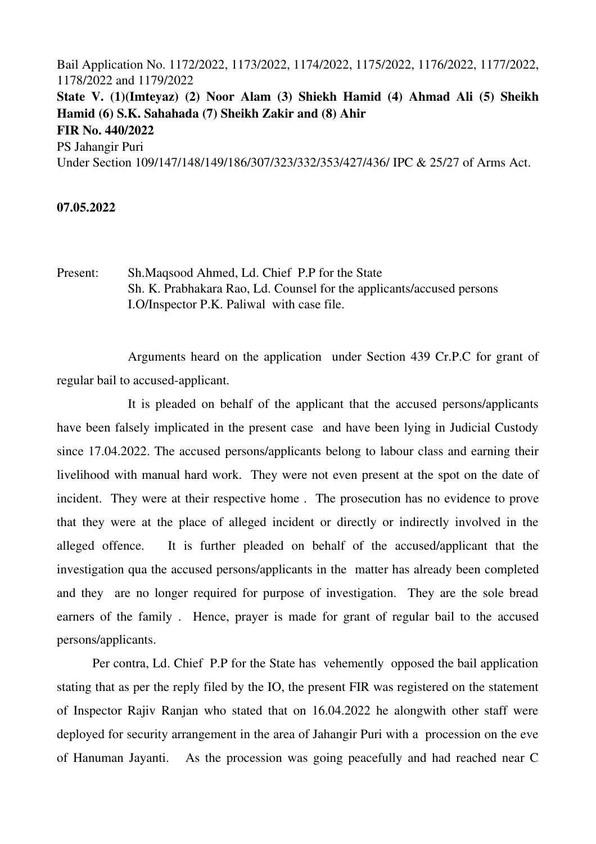Bail Application No. 1172/2022, 1173/2022, 1174/2022, 1175/2022, 1176/2022, 1177/2022, 1178/2022 and 1179/2022 State V. (1)(Imteyaz) (2) Noor Alam (3) Shiekh Hamid (4) Ahmad Ali (5) Sheikh Hamid (6) S.K. Sahahada (7) Sheikh Zakir and (8) Ahir FIR No. 440/2022 PS Jahangir Puri Under Section 109/147/148/149/186/307/323/332/353/427/436/ IPC & 25/27 of Arms Act.

## 07.05.2022

Present: Sh.Maqsood Ahmed, Ld. Chief P.P for the State Sh. K. Prabhakara Rao, Ld. Counsel for the applicants/accused persons I.O/Inspector P.K. Paliwal with case file.

Arguments heard on the application under Section 439 Cr.P.C for grant of regular bail to accused-applicant.

It is pleaded on behalf of the applicant that the accused persons/applicants have been falsely implicated in the present case and have been lying in Judicial Custody since 17.04.2022. The accused persons/applicants belong to labour class and earning their livelihood with manual hard work. They were not even present at the spot on the date of incident. They were at their respective home . The prosecution has no evidence to prove that they were at the place of alleged incident or directly or indirectly involved in the alleged offence. It is further pleaded on behalf of the accused/applicant that the investigation qua the accused persons/applicants in the matter has already been completed and they are no longer required for purpose of investigation. They are the sole bread earners of the family. Hence, prayer is made for grant of regular bail to the accused persons/applicants.

Per contra, Ld. Chief P.P for the State has vehemently opposed the bail application stating that as per the reply filed by the IO, the present FIR was registered on the statement of Inspector Rajiv Ranjan who stated that on 16.04.2022 he alongwith other staff were deployed for security arrangement in the area of Jahangir Puri with a procession on the eve of Hanuman Jayanti. As the procession was going peacefully and had reached near C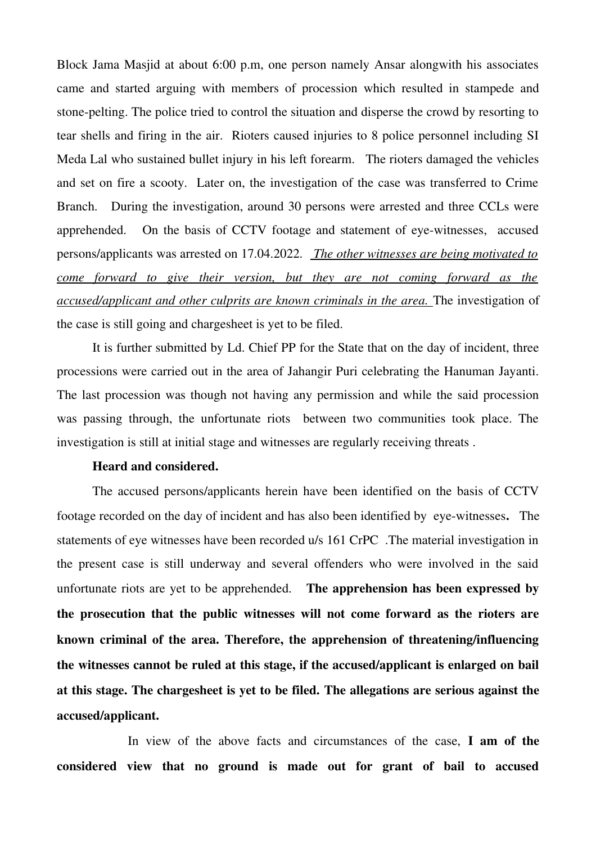Block Jama Masjid at about 6:00 p.m, one person namely Ansar alongwith his associates came and started arguing with members of procession which resulted in stampede and stone-pelting. The police tried to control the situation and disperse the crowd by resorting to tear shells and firing in the air. Rioters caused injuries to 8 police personnel including SI Meda Lal who sustained bullet injury in his left forearm. The rioters damaged the vehicles and set on fire a scooty. Later on, the investigation of the case was transferred to Crime Branch. During the investigation, around 30 persons were arrested and three CCLs were apprehended. On the basis of CCTV footage and statement of eye-witnesses, accused persons/applicants was arrested on 17.04.2022.  *The other witnesses are being motivated to come forward to give their version, but they are not coming forward as the accused/applicant and other culprits are known criminals in the area.* The investigation of the case is still going and chargesheet is yet to be filed.

It is further submitted by Ld. Chief PP for the State that on the day of incident, three processions were carried out in the area of Jahangir Puri celebrating the Hanuman Jayanti. The last procession was though not having any permission and while the said procession was passing through, the unfortunate riots between two communities took place. The investigation is still at initial stage and witnesses are regularly receiving threats .

## Heard and considered.

The accused persons/applicants herein have been identified on the basis of CCTV footage recorded on the day of incident and has also been identified by eye-witnesses. The statements of eye witnesses have been recorded u/s 161 CrPC .The material investigation in the present case is still underway and several offenders who were involved in the said unfortunate riots are yet to be apprehended. The apprehension has been expressed by the prosecution that the public witnesses will not come forward as the rioters are known criminal of the area. Therefore, the apprehension of threatening/influencing the witnesses cannot be ruled at this stage, if the accused/applicant is enlarged on bail at this stage. The chargesheet is yet to be filed. The allegations are serious against the accused/applicant.

In view of the above facts and circumstances of the case, I am of the considered view that no ground is made out for grant of bail to accused